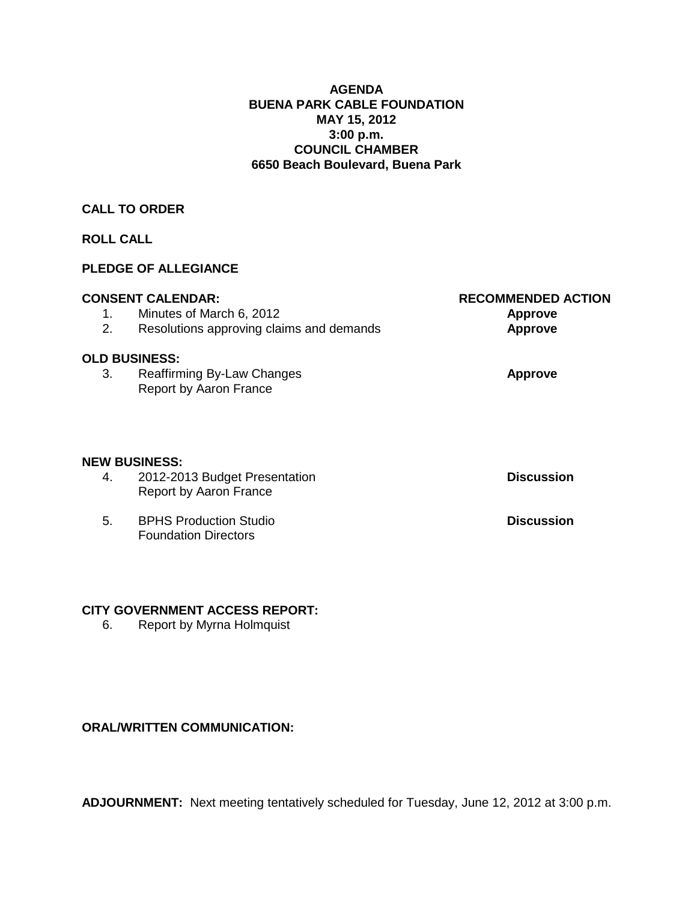### **AGENDA BUENA PARK CABLE FOUNDATION MAY 15, 2012 3:00 p.m. COUNCIL CHAMBER 6650 Beach Boulevard, Buena Park**

## **CALL TO ORDER**

## **ROLL CALL**

## **PLEDGE OF ALLEGIANCE**

|    | <b>CONSENT CALENDAR:</b>                                       | <b>RECOMMENDED ACTION</b> |
|----|----------------------------------------------------------------|---------------------------|
| 1. | Minutes of March 6, 2012                                       | Approve                   |
| 2. | Resolutions approving claims and demands                       | <b>Approve</b>            |
|    | <b>OLD BUSINESS:</b>                                           |                           |
| 3. | Reaffirming By-Law Changes<br><b>Report by Aaron France</b>    | <b>Approve</b>            |
|    |                                                                |                           |
|    | <b>NEW BUSINESS:</b>                                           |                           |
| 4. | 2012-2013 Budget Presentation<br><b>Report by Aaron France</b> | <b>Discussion</b>         |
| 5. | <b>BPHS Production Studio</b><br><b>Foundation Directors</b>   | <b>Discussion</b>         |

#### **CITY GOVERNMENT ACCESS REPORT:**

6. Report by Myrna Holmquist

## **ORAL/WRITTEN COMMUNICATION:**

**ADJOURNMENT:** Next meeting tentatively scheduled for Tuesday, June 12, 2012 at 3:00 p.m.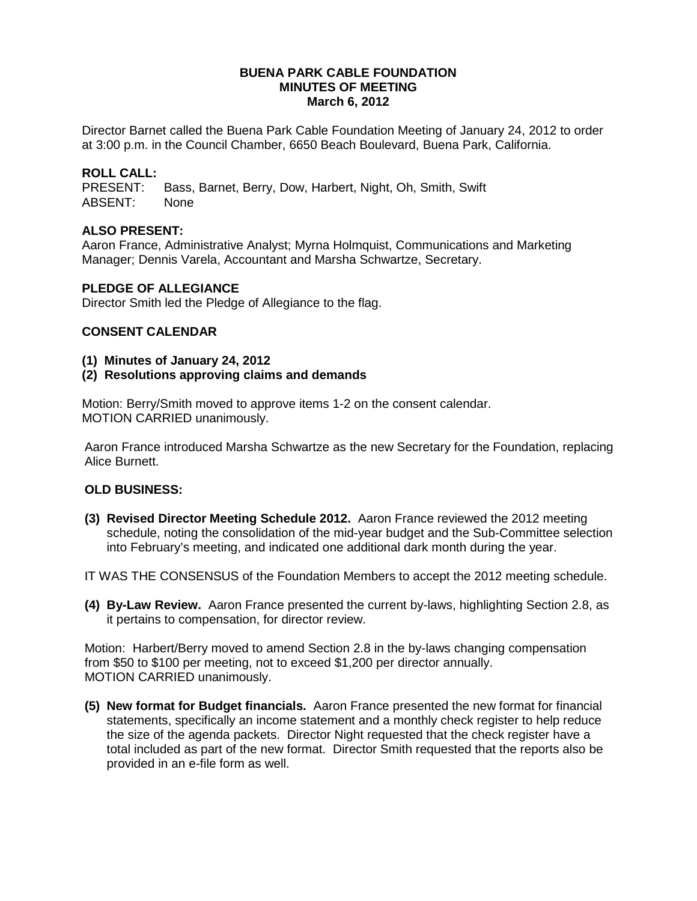#### **BUENA PARK CABLE FOUNDATION MINUTES OF MEETING March 6, 2012**

Director Barnet called the Buena Park Cable Foundation Meeting of January 24, 2012 to order at 3:00 p.m. in the Council Chamber, 6650 Beach Boulevard, Buena Park, California.

# **ROLL CALL:**

Bass, Barnet, Berry, Dow, Harbert, Night, Oh, Smith, Swift ABSENT: None

### **ALSO PRESENT:**

Aaron France, Administrative Analyst; Myrna Holmquist, Communications and Marketing Manager; Dennis Varela, Accountant and Marsha Schwartze, Secretary.

#### **PLEDGE OF ALLEGIANCE**

Director Smith led the Pledge of Allegiance to the flag.

### **CONSENT CALENDAR**

#### **(1) Minutes of January 24, 2012**

**(2) Resolutions approving claims and demands** 

Motion: Berry/Smith moved to approve items 1-2 on the consent calendar. MOTION CARRIED unanimously.

Aaron France introduced Marsha Schwartze as the new Secretary for the Foundation, replacing Alice Burnett.

## **OLD BUSINESS:**

**(3) Revised Director Meeting Schedule 2012.** Aaron France reviewed the 2012 meeting schedule, noting the consolidation of the mid-year budget and the Sub-Committee selection into February's meeting, and indicated one additional dark month during the year.

IT WAS THE CONSENSUS of the Foundation Members to accept the 2012 meeting schedule.

**(4) By-Law Review.** Aaron France presented the current by-laws, highlighting Section 2.8, as it pertains to compensation, for director review.

Motion: Harbert/Berry moved to amend Section 2.8 in the by-laws changing compensation from \$50 to \$100 per meeting, not to exceed \$1,200 per director annually. MOTION CARRIED unanimously.

**(5) New format for Budget financials.** Aaron France presented the new format for financial statements, specifically an income statement and a monthly check register to help reduce the size of the agenda packets. Director Night requested that the check register have a total included as part of the new format. Director Smith requested that the reports also be provided in an e-file form as well.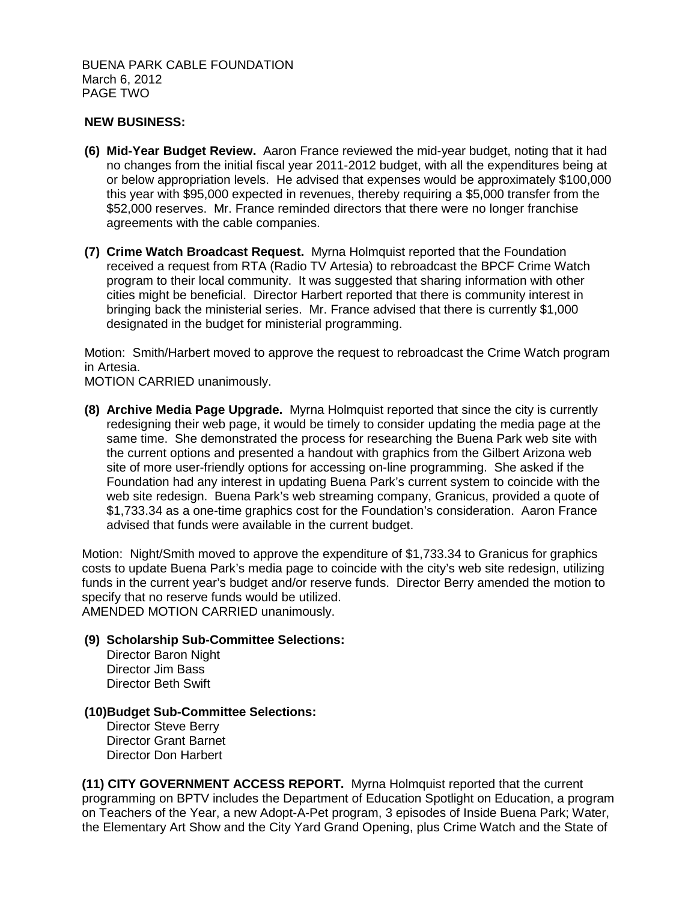BUENA PARK CABLE FOUNDATION March 6, 2012 PAGE TWO

### **NEW BUSINESS:**

- **(6) Mid-Year Budget Review.** Aaron France reviewed the mid-year budget, noting that it had no changes from the initial fiscal year 2011-2012 budget, with all the expenditures being at or below appropriation levels. He advised that expenses would be approximately \$100,000 this year with \$95,000 expected in revenues, thereby requiring a \$5,000 transfer from the \$52,000 reserves. Mr. France reminded directors that there were no longer franchise agreements with the cable companies.
- **(7) Crime Watch Broadcast Request.** Myrna Holmquist reported that the Foundation received a request from RTA (Radio TV Artesia) to rebroadcast the BPCF Crime Watch program to their local community. It was suggested that sharing information with other cities might be beneficial. Director Harbert reported that there is community interest in bringing back the ministerial series. Mr. France advised that there is currently \$1,000 designated in the budget for ministerial programming.

Motion: Smith/Harbert moved to approve the request to rebroadcast the Crime Watch program in Artesia.

MOTION CARRIED unanimously.

**(8) Archive Media Page Upgrade.** Myrna Holmquist reported that since the city is currently redesigning their web page, it would be timely to consider updating the media page at the same time. She demonstrated the process for researching the Buena Park web site with the current options and presented a handout with graphics from the Gilbert Arizona web site of more user-friendly options for accessing on-line programming. She asked if the Foundation had any interest in updating Buena Park's current system to coincide with the web site redesign. Buena Park's web streaming company, Granicus, provided a quote of \$1,733.34 as a one-time graphics cost for the Foundation's consideration. Aaron France advised that funds were available in the current budget.

Motion: Night/Smith moved to approve the expenditure of \$1,733.34 to Granicus for graphics costs to update Buena Park's media page to coincide with the city's web site redesign, utilizing funds in the current year's budget and/or reserve funds. Director Berry amended the motion to specify that no reserve funds would be utilized. AMENDED MOTION CARRIED unanimously.

#### **(9) Scholarship Sub-Committee Selections:**

Director Baron Night Director Jim Bass Director Beth Swift

#### **(10)Budget Sub-Committee Selections:**

Director Steve Berry Director Grant Barnet Director Don Harbert

**(11) CITY GOVERNMENT ACCESS REPORT.** Myrna Holmquist reported that the current programming on BPTV includes the Department of Education Spotlight on Education, a program on Teachers of the Year, a new Adopt-A-Pet program, 3 episodes of Inside Buena Park; Water, the Elementary Art Show and the City Yard Grand Opening, plus Crime Watch and the State of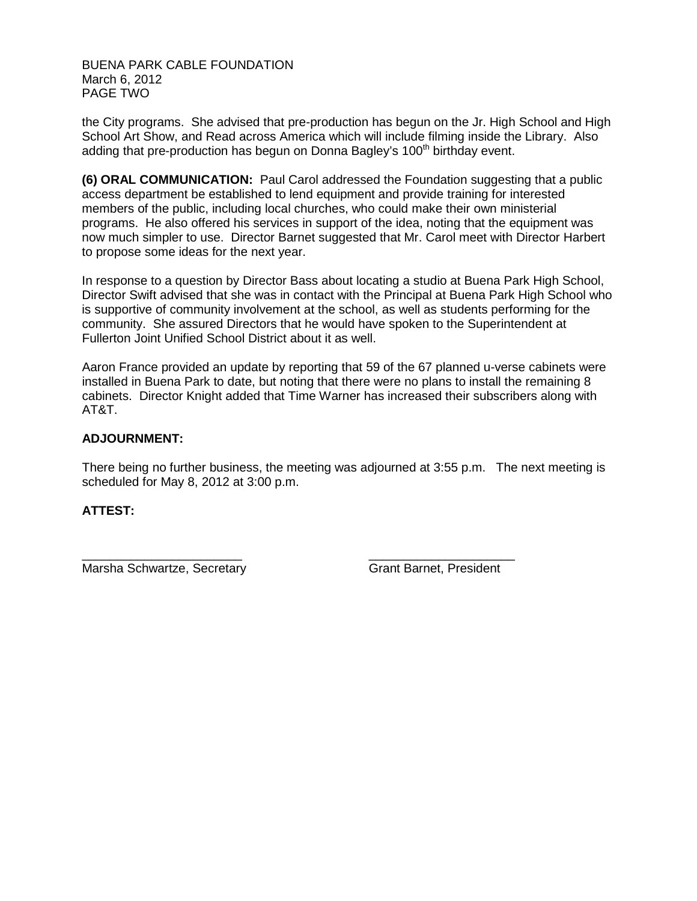BUENA PARK CABLE FOUNDATION March 6, 2012 PAGE TWO

the City programs. She advised that pre-production has begun on the Jr. High School and High School Art Show, and Read across America which will include filming inside the Library. Also adding that pre-production has begun on Donna Bagley's 100<sup>th</sup> birthday event.

**(6) ORAL COMMUNICATION:** Paul Carol addressed the Foundation suggesting that a public access department be established to lend equipment and provide training for interested members of the public, including local churches, who could make their own ministerial programs. He also offered his services in support of the idea, noting that the equipment was now much simpler to use. Director Barnet suggested that Mr. Carol meet with Director Harbert to propose some ideas for the next year.

In response to a question by Director Bass about locating a studio at Buena Park High School, Director Swift advised that she was in contact with the Principal at Buena Park High School who is supportive of community involvement at the school, as well as students performing for the community. She assured Directors that he would have spoken to the Superintendent at Fullerton Joint Unified School District about it as well.

Aaron France provided an update by reporting that 59 of the 67 planned u-verse cabinets were installed in Buena Park to date, but noting that there were no plans to install the remaining 8 cabinets. Director Knight added that Time Warner has increased their subscribers along with AT&T.

## **ADJOURNMENT:**

There being no further business, the meeting was adjourned at 3:55 p.m. The next meeting is scheduled for May 8, 2012 at 3:00 p.m.

## **ATTEST:**

Marsha Schwartze, Secretary Grant Barnet, President

\_\_\_\_\_\_\_\_\_\_\_\_\_\_\_\_\_\_\_\_\_\_\_ \_\_\_\_\_\_\_\_\_\_\_\_\_\_\_\_\_\_\_\_\_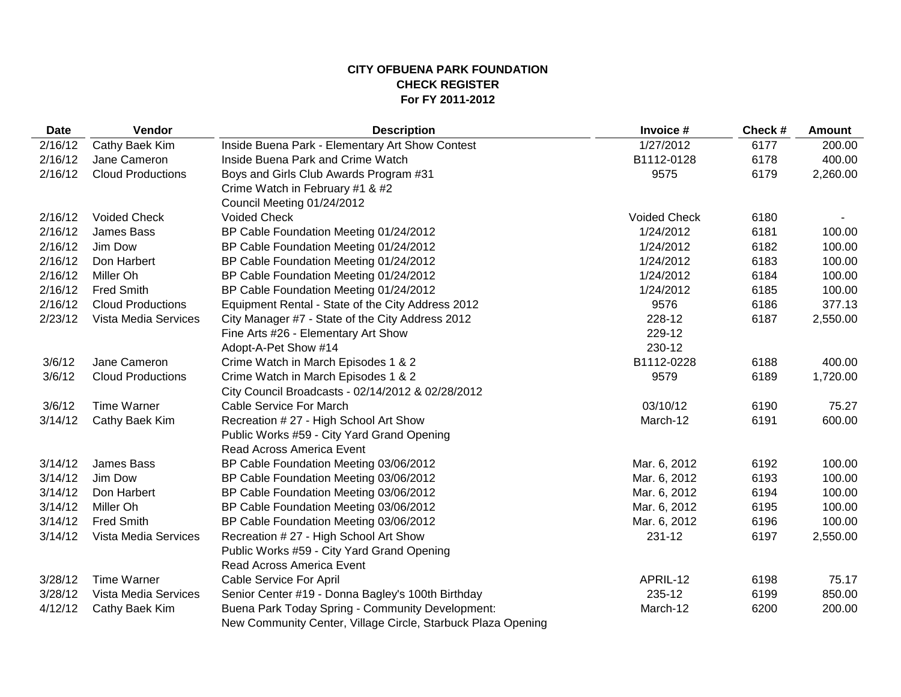### **CITY OFBUENA PARK FOUNDATION CHECK REGISTER For FY 2011-2012**

| <b>Date</b> | Vendor                   | <b>Description</b>                                           | Invoice #           | Check# | <b>Amount</b> |
|-------------|--------------------------|--------------------------------------------------------------|---------------------|--------|---------------|
| 2/16/12     | Cathy Baek Kim           | Inside Buena Park - Elementary Art Show Contest              | 1/27/2012           | 6177   | 200.00        |
| 2/16/12     | Jane Cameron             | Inside Buena Park and Crime Watch                            | B1112-0128          | 6178   | 400.00        |
| 2/16/12     | <b>Cloud Productions</b> | Boys and Girls Club Awards Program #31                       | 9575                | 6179   | 2,260.00      |
|             |                          | Crime Watch in February #1 & #2                              |                     |        |               |
|             |                          | Council Meeting 01/24/2012                                   |                     |        |               |
| 2/16/12     | <b>Voided Check</b>      | <b>Voided Check</b>                                          | <b>Voided Check</b> | 6180   |               |
| 2/16/12     | James Bass               | BP Cable Foundation Meeting 01/24/2012                       | 1/24/2012           | 6181   | 100.00        |
| 2/16/12     | Jim Dow                  | BP Cable Foundation Meeting 01/24/2012                       | 1/24/2012           | 6182   | 100.00        |
| 2/16/12     | Don Harbert              | BP Cable Foundation Meeting 01/24/2012                       | 1/24/2012           | 6183   | 100.00        |
| 2/16/12     | Miller Oh                | BP Cable Foundation Meeting 01/24/2012                       | 1/24/2012           | 6184   | 100.00        |
| 2/16/12     | <b>Fred Smith</b>        | BP Cable Foundation Meeting 01/24/2012                       | 1/24/2012           | 6185   | 100.00        |
| 2/16/12     | <b>Cloud Productions</b> | Equipment Rental - State of the City Address 2012            | 9576                | 6186   | 377.13        |
| 2/23/12     | Vista Media Services     | City Manager #7 - State of the City Address 2012             | 228-12              | 6187   | 2,550.00      |
|             |                          | Fine Arts #26 - Elementary Art Show                          | 229-12              |        |               |
|             |                          | Adopt-A-Pet Show #14                                         | 230-12              |        |               |
| 3/6/12      | Jane Cameron             | Crime Watch in March Episodes 1 & 2                          | B1112-0228          | 6188   | 400.00        |
| 3/6/12      | <b>Cloud Productions</b> | Crime Watch in March Episodes 1 & 2                          | 9579                | 6189   | 1,720.00      |
|             |                          | City Council Broadcasts - 02/14/2012 & 02/28/2012            |                     |        |               |
| 3/6/12      | <b>Time Warner</b>       | <b>Cable Service For March</b>                               | 03/10/12            | 6190   | 75.27         |
| 3/14/12     | Cathy Baek Kim           | Recreation # 27 - High School Art Show                       | March-12            | 6191   | 600.00        |
|             |                          | Public Works #59 - City Yard Grand Opening                   |                     |        |               |
|             |                          | Read Across America Event                                    |                     |        |               |
| 3/14/12     | James Bass               | BP Cable Foundation Meeting 03/06/2012                       | Mar. 6, 2012        | 6192   | 100.00        |
| 3/14/12     | Jim Dow                  | BP Cable Foundation Meeting 03/06/2012                       | Mar. 6, 2012        | 6193   | 100.00        |
| 3/14/12     | Don Harbert              | BP Cable Foundation Meeting 03/06/2012                       | Mar. 6, 2012        | 6194   | 100.00        |
| 3/14/12     | Miller Oh                | BP Cable Foundation Meeting 03/06/2012                       | Mar. 6, 2012        | 6195   | 100.00        |
| 3/14/12     | <b>Fred Smith</b>        | BP Cable Foundation Meeting 03/06/2012                       | Mar. 6, 2012        | 6196   | 100.00        |
| 3/14/12     | Vista Media Services     | Recreation #27 - High School Art Show                        | 231-12              | 6197   | 2,550.00      |
|             |                          | Public Works #59 - City Yard Grand Opening                   |                     |        |               |
|             |                          | Read Across America Event                                    |                     |        |               |
| 3/28/12     | <b>Time Warner</b>       | Cable Service For April                                      | APRIL-12            | 6198   | 75.17         |
| 3/28/12     | Vista Media Services     | Senior Center #19 - Donna Bagley's 100th Birthday            | 235-12              | 6199   | 850.00        |
| 4/12/12     | Cathy Baek Kim           | Buena Park Today Spring - Community Development:             | March-12            | 6200   | 200.00        |
|             |                          | New Community Center, Village Circle, Starbuck Plaza Opening |                     |        |               |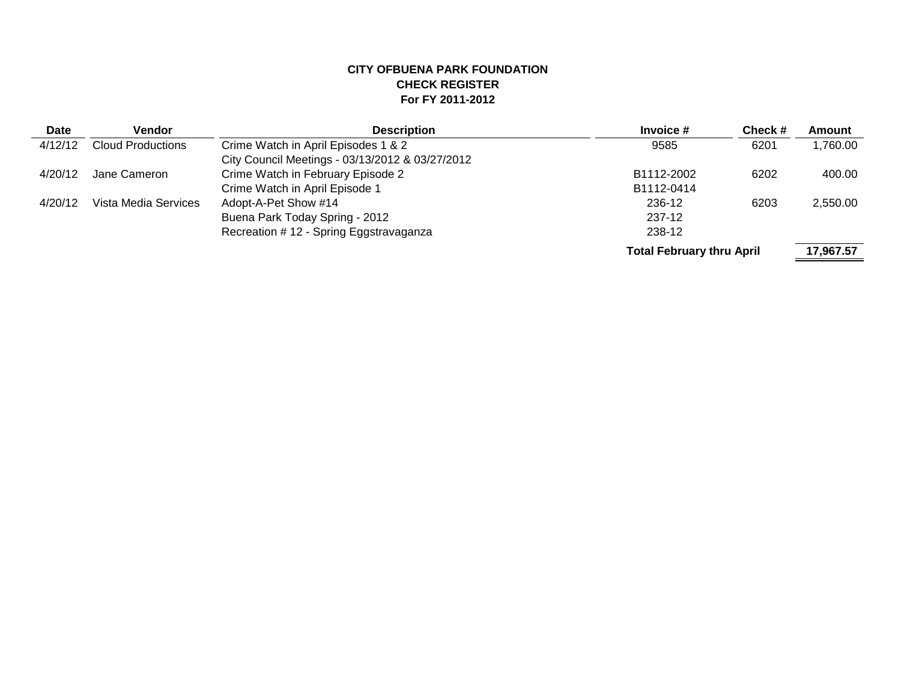## **CITY OFBUENA PARK FOUNDATION CHECK REGISTER For FY 2011-2012**

| <b>Date</b> | <b>Vendor</b>            | <b>Description</b>                              | Invoice #                        | Check # | Amount    |
|-------------|--------------------------|-------------------------------------------------|----------------------------------|---------|-----------|
| 4/12/12     | <b>Cloud Productions</b> | Crime Watch in April Episodes 1 & 2             | 9585                             | 6201    | 1,760.00  |
|             |                          | City Council Meetings - 03/13/2012 & 03/27/2012 |                                  |         |           |
| 4/20/12     | Jane Cameron             | Crime Watch in February Episode 2               | B1112-2002                       | 6202    | 400.00    |
|             |                          | Crime Watch in April Episode 1                  | B1112-0414                       |         |           |
| 4/20/12     | Vista Media Services     | Adopt-A-Pet Show #14                            | 236-12                           | 6203    | 2,550.00  |
|             |                          | Buena Park Today Spring - 2012                  | 237-12                           |         |           |
|             |                          | Recreation # 12 - Spring Eggstravaganza         | 238-12                           |         |           |
|             |                          |                                                 | <b>Total February thru April</b> |         | 17,967.57 |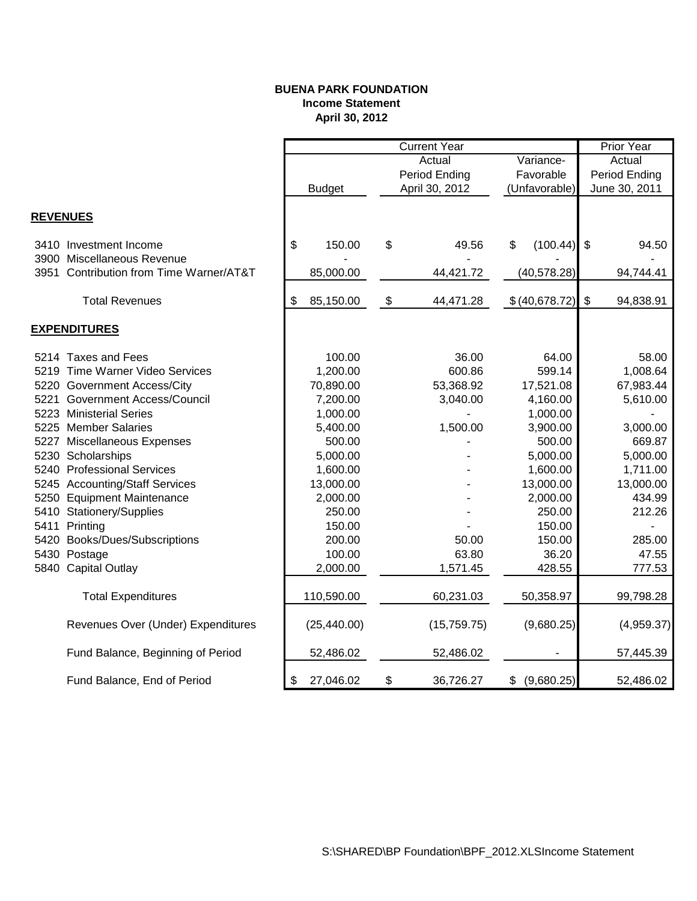### **BUENA PARK FOUNDATION Income Statement April 30, 2012**

|                 |                                         | <b>Current Year</b> |               |    |                | <b>Prior Year</b> |                |                         |            |
|-----------------|-----------------------------------------|---------------------|---------------|----|----------------|-------------------|----------------|-------------------------|------------|
|                 |                                         | Variance-<br>Actual |               |    | Actual         |                   |                |                         |            |
|                 |                                         |                     |               |    | Period Ending  | Favorable         |                | Period Ending           |            |
|                 |                                         |                     | <b>Budget</b> |    | April 30, 2012 |                   | (Unfavorable)  | June 30, 2011           |            |
|                 |                                         |                     |               |    |                |                   |                |                         |            |
| <b>REVENUES</b> |                                         |                     |               |    |                |                   |                |                         |            |
|                 | 3410 Investment Income                  | \$                  | 150.00        | \$ | 49.56          | \$                | (100.44)       | -\$                     | 94.50      |
|                 | 3900 Miscellaneous Revenue              |                     |               |    |                |                   |                |                         |            |
|                 | 3951 Contribution from Time Warner/AT&T |                     | 85,000.00     |    | 44,421.72      |                   | (40, 578.28)   |                         | 94,744.41  |
|                 |                                         |                     |               |    |                |                   |                |                         |            |
|                 | <b>Total Revenues</b>                   | \$                  | 85,150.00     | \$ | 44,471.28      |                   | \$ (40,678.72) | $\sqrt[6]{\frac{1}{2}}$ | 94,838.91  |
|                 | <b>EXPENDITURES</b>                     |                     |               |    |                |                   |                |                         |            |
|                 | 5214 Taxes and Fees                     |                     | 100.00        |    | 36.00          |                   | 64.00          |                         | 58.00      |
|                 | 5219 Time Warner Video Services         |                     | 1,200.00      |    | 600.86         |                   | 599.14         |                         | 1,008.64   |
|                 | 5220 Government Access/City             |                     | 70,890.00     |    | 53,368.92      |                   | 17,521.08      |                         | 67,983.44  |
|                 | 5221 Government Access/Council          |                     | 7,200.00      |    | 3,040.00       |                   | 4,160.00       |                         | 5,610.00   |
|                 | 5223 Ministerial Series                 |                     | 1,000.00      |    |                |                   | 1,000.00       |                         |            |
|                 | 5225 Member Salaries                    |                     | 5,400.00      |    | 1,500.00       |                   | 3,900.00       |                         | 3,000.00   |
|                 | 5227 Miscellaneous Expenses             |                     | 500.00        |    |                |                   | 500.00         |                         | 669.87     |
|                 | 5230 Scholarships                       |                     | 5,000.00      |    |                |                   | 5,000.00       |                         | 5,000.00   |
|                 | 5240 Professional Services              |                     | 1,600.00      |    |                |                   | 1,600.00       |                         | 1,711.00   |
|                 | 5245 Accounting/Staff Services          |                     | 13,000.00     |    |                |                   | 13,000.00      |                         | 13,000.00  |
|                 | 5250 Equipment Maintenance              |                     | 2,000.00      |    |                |                   | 2,000.00       |                         | 434.99     |
|                 | 5410 Stationery/Supplies                |                     | 250.00        |    |                |                   | 250.00         |                         | 212.26     |
|                 | 5411 Printing                           |                     | 150.00        |    |                |                   | 150.00         |                         |            |
|                 | 5420 Books/Dues/Subscriptions           |                     | 200.00        |    | 50.00          |                   | 150.00         |                         | 285.00     |
|                 | 5430 Postage                            |                     | 100.00        |    | 63.80          |                   | 36.20          |                         | 47.55      |
|                 | 5840 Capital Outlay                     |                     | 2,000.00      |    | 1,571.45       |                   | 428.55         |                         | 777.53     |
|                 |                                         |                     |               |    |                |                   |                |                         |            |
|                 | <b>Total Expenditures</b>               |                     | 110,590.00    |    | 60,231.03      |                   | 50,358.97      |                         | 99,798.28  |
|                 | Revenues Over (Under) Expenditures      |                     | (25, 440.00)  |    | (15, 759.75)   |                   | (9,680.25)     |                         | (4,959.37) |
|                 | Fund Balance, Beginning of Period       |                     | 52,486.02     |    | 52,486.02      |                   |                |                         | 57,445.39  |
|                 | Fund Balance, End of Period             | \$                  | 27,046.02     | \$ | 36,726.27      | \$                | (9,680.25)     |                         | 52,486.02  |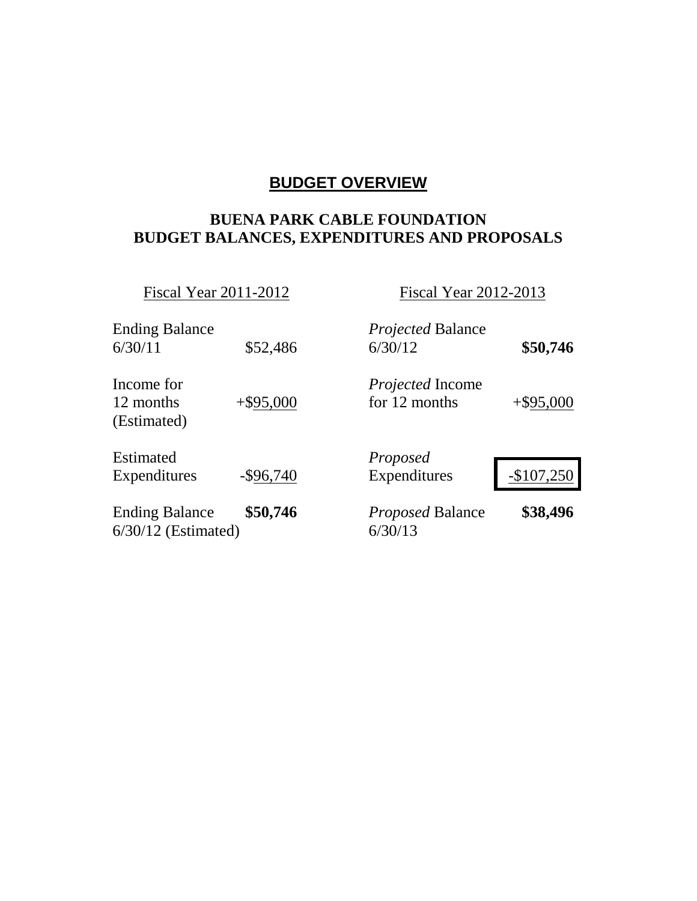# **BUDGET OVERVIEW**

# **BUENA PARK CABLE FOUNDATION BUDGET BALANCES, EXPENDITURES AND PROPOSALS**

Fiscal Year 2011-2012 Fiscal Year 2012-2013

| <b>Ending Balance</b><br>6/30/11               | \$52,486     | <i>Projected</i> Balance<br>6/30/12      | \$50,746     |
|------------------------------------------------|--------------|------------------------------------------|--------------|
| Income for<br>12 months<br>(Estimated)         | $+$ \$95,000 | <i>Projected</i> Income<br>for 12 months | $+$ \$95,000 |
| <b>Estimated</b><br>Expenditures               | $-$ \$96,740 | Proposed<br>Expenditures                 | $-$107,250$  |
| <b>Ending Balance</b><br>$6/30/12$ (Estimated) | \$50,746     | <b>Proposed Balance</b><br>6/30/13       | \$38,496     |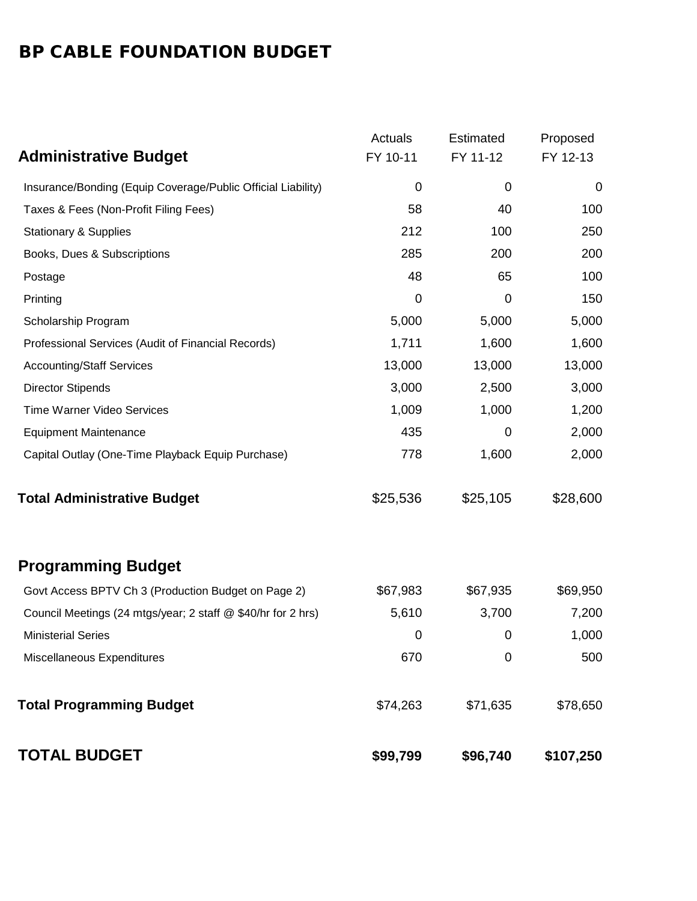# BP CABLE FOUNDATION BUDGET

|                                                              | Actuals     | Estimated        | Proposed  |
|--------------------------------------------------------------|-------------|------------------|-----------|
| <b>Administrative Budget</b>                                 | FY 10-11    | FY 11-12         | FY 12-13  |
| Insurance/Bonding (Equip Coverage/Public Official Liability) | $\mathbf 0$ | $\boldsymbol{0}$ | 0         |
| Taxes & Fees (Non-Profit Filing Fees)                        | 58          | 40               | 100       |
| <b>Stationary &amp; Supplies</b>                             | 212         | 100              | 250       |
| Books, Dues & Subscriptions                                  | 285         | 200              | 200       |
| Postage                                                      | 48          | 65               | 100       |
| Printing                                                     | 0           | 0                | 150       |
| Scholarship Program                                          | 5,000       | 5,000            | 5,000     |
| Professional Services (Audit of Financial Records)           | 1,711       | 1,600            | 1,600     |
| <b>Accounting/Staff Services</b>                             | 13,000      | 13,000           | 13,000    |
| <b>Director Stipends</b>                                     | 3,000       | 2,500            | 3,000     |
| <b>Time Warner Video Services</b>                            | 1,009       | 1,000            | 1,200     |
| <b>Equipment Maintenance</b>                                 | 435         | $\mathbf 0$      | 2,000     |
| Capital Outlay (One-Time Playback Equip Purchase)            | 778         | 1,600            | 2,000     |
| <b>Total Administrative Budget</b>                           | \$25,536    | \$25,105         | \$28,600  |
| <b>Programming Budget</b>                                    |             |                  |           |
| Govt Access BPTV Ch 3 (Production Budget on Page 2)          | \$67,983    | \$67,935         | \$69,950  |
| Council Meetings (24 mtgs/year; 2 staff @ \$40/hr for 2 hrs) | 5,610       | 3,700            | 7,200     |
| <b>Ministerial Series</b>                                    | 0           | $\mathbf 0$      | 1,000     |
| Miscellaneous Expenditures                                   | 670         | 0                | 500       |
| <b>Total Programming Budget</b>                              | \$74,263    | \$71,635         | \$78,650  |
| <b>TOTAL BUDGET</b>                                          | \$99,799    | \$96,740         | \$107,250 |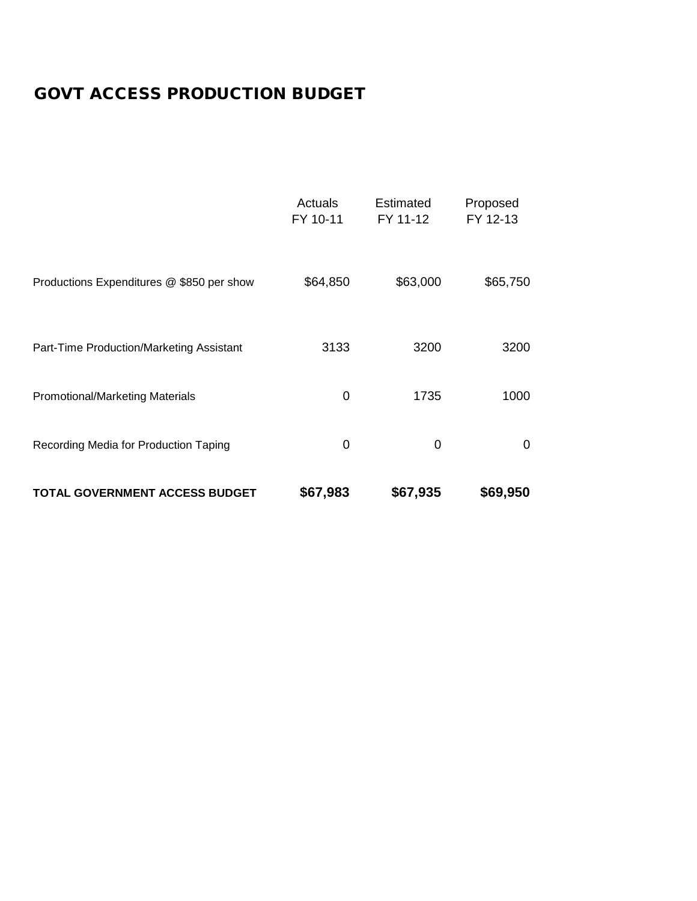# GOVT ACCESS PRODUCTION BUDGET

|                                           | Actuals<br>FY 10-11 | <b>Estimated</b><br>FY 11-12 | Proposed<br>FY 12-13 |
|-------------------------------------------|---------------------|------------------------------|----------------------|
| Productions Expenditures @ \$850 per show | \$64,850            | \$63,000                     | \$65,750             |
| Part-Time Production/Marketing Assistant  | 3133                | 3200                         | 3200                 |
| <b>Promotional/Marketing Materials</b>    | 0                   | 1735                         | 1000                 |
| Recording Media for Production Taping     | $\mathbf 0$         | 0                            | 0                    |
| TOTAL GOVERNMENT ACCESS BUDGET            | \$67,983            | \$67,935                     | \$69,950             |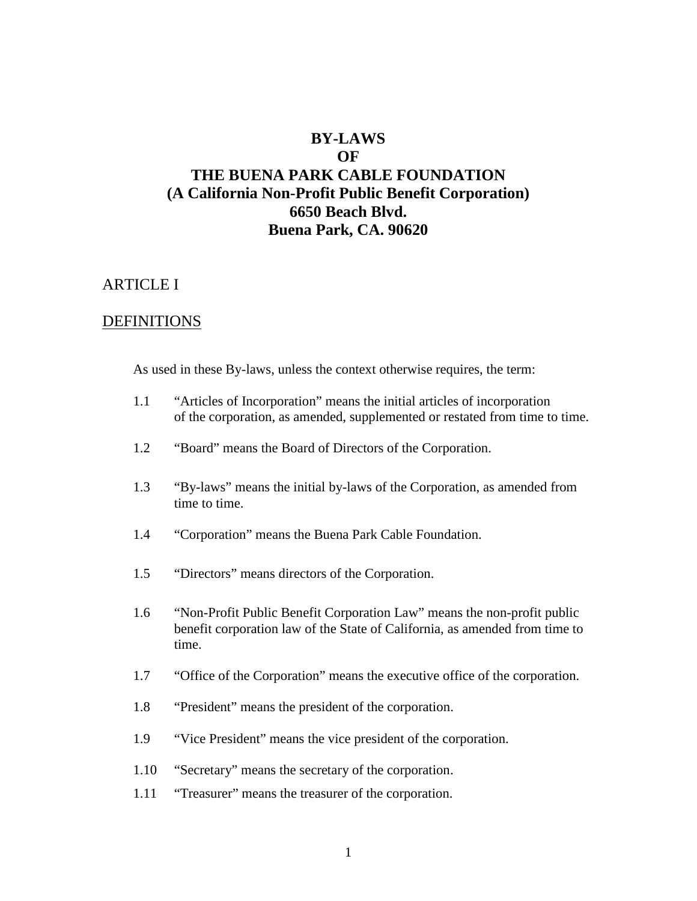## **BY-LAWS**

#### **OF**

# **THE BUENA PARK CABLE FOUNDATION (A California Non-Profit Public Benefit Corporation) 6650 Beach Blvd. Buena Park, CA. 90620**

## ARTICLE I

## DEFINITIONS

As used in these By-laws, unless the context otherwise requires, the term:

- 1.1 "Articles of Incorporation" means the initial articles of incorporation of the corporation, as amended, supplemented or restated from time to time.
- 1.2 "Board" means the Board of Directors of the Corporation.
- 1.3 "By-laws" means the initial by-laws of the Corporation, as amended from time to time.
- 1.4 "Corporation" means the Buena Park Cable Foundation.
- 1.5 "Directors" means directors of the Corporation.
- 1.6 "Non-Profit Public Benefit Corporation Law" means the non-profit public benefit corporation law of the State of California, as amended from time to time.
- 1.7 "Office of the Corporation" means the executive office of the corporation.
- 1.8 "President" means the president of the corporation.
- 1.9 "Vice President" means the vice president of the corporation.
- 1.10 "Secretary" means the secretary of the corporation.
- 1.11 "Treasurer" means the treasurer of the corporation.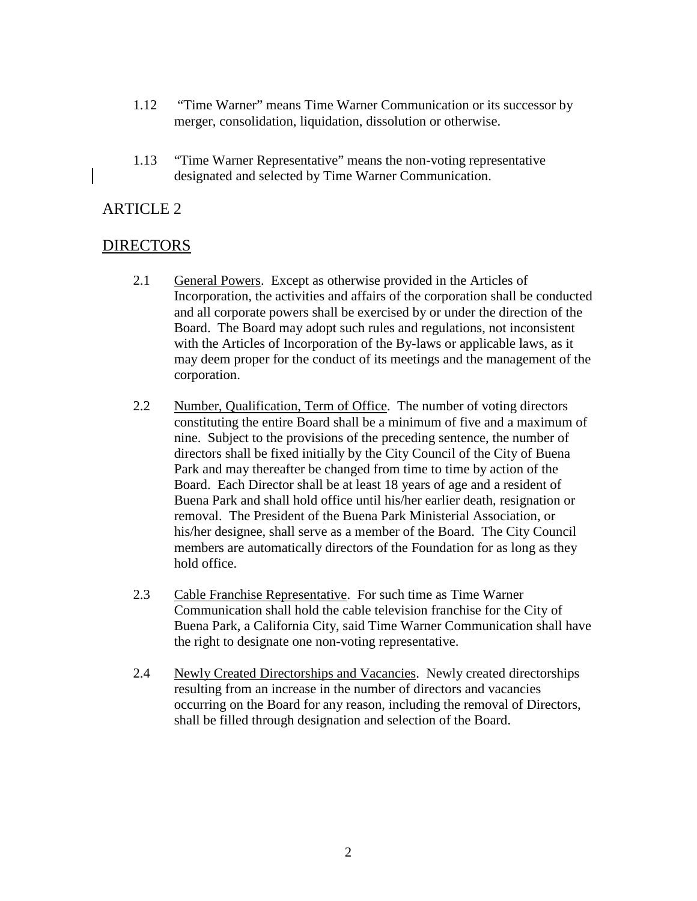- 1.12 "Time Warner" means Time Warner Communication or its successor by merger, consolidation, liquidation, dissolution or otherwise.
- 1.13 "Time Warner Representative" means the non-voting representative designated and selected by Time Warner Communication.

## DIRECTORS

- 2.1 General Powers. Except as otherwise provided in the Articles of Incorporation, the activities and affairs of the corporation shall be conducted and all corporate powers shall be exercised by or under the direction of the Board. The Board may adopt such rules and regulations, not inconsistent with the Articles of Incorporation of the By-laws or applicable laws, as it may deem proper for the conduct of its meetings and the management of the corporation.
- 2.2 Number, Qualification, Term of Office. The number of voting directors constituting the entire Board shall be a minimum of five and a maximum of nine. Subject to the provisions of the preceding sentence, the number of directors shall be fixed initially by the City Council of the City of Buena Park and may thereafter be changed from time to time by action of the Board. Each Director shall be at least 18 years of age and a resident of Buena Park and shall hold office until his/her earlier death, resignation or removal. The President of the Buena Park Ministerial Association, or his/her designee, shall serve as a member of the Board. The City Council members are automatically directors of the Foundation for as long as they hold office.
- 2.3 Cable Franchise Representative. For such time as Time Warner Communication shall hold the cable television franchise for the City of Buena Park, a California City, said Time Warner Communication shall have the right to designate one non-voting representative.
- 2.4 Newly Created Directorships and Vacancies. Newly created directorships resulting from an increase in the number of directors and vacancies occurring on the Board for any reason, including the removal of Directors, shall be filled through designation and selection of the Board.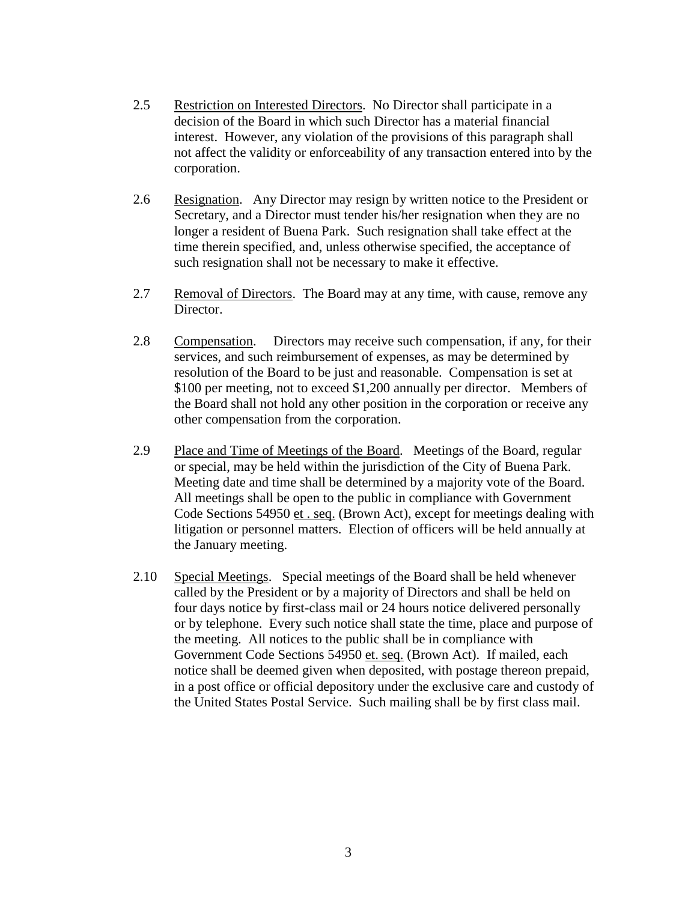- 2.5 Restriction on Interested Directors. No Director shall participate in a decision of the Board in which such Director has a material financial interest. However, any violation of the provisions of this paragraph shall not affect the validity or enforceability of any transaction entered into by the corporation.
- 2.6 Resignation. Any Director may resign by written notice to the President or Secretary, and a Director must tender his/her resignation when they are no longer a resident of Buena Park. Such resignation shall take effect at the time therein specified, and, unless otherwise specified, the acceptance of such resignation shall not be necessary to make it effective.
- 2.7 Removal of Directors. The Board may at any time, with cause, remove any Director.
- 2.8 Compensation. Directors may receive such compensation, if any, for their services, and such reimbursement of expenses, as may be determined by resolution of the Board to be just and reasonable. Compensation is set at \$100 per meeting, not to exceed \$1,200 annually per director. Members of the Board shall not hold any other position in the corporation or receive any other compensation from the corporation.
- 2.9 Place and Time of Meetings of the Board. Meetings of the Board, regular or special, may be held within the jurisdiction of the City of Buena Park. Meeting date and time shall be determined by a majority vote of the Board. All meetings shall be open to the public in compliance with Government Code Sections 54950 et . seq. (Brown Act), except for meetings dealing with litigation or personnel matters. Election of officers will be held annually at the January meeting.
- 2.10 Special Meetings. Special meetings of the Board shall be held whenever called by the President or by a majority of Directors and shall be held on four days notice by first-class mail or 24 hours notice delivered personally or by telephone. Every such notice shall state the time, place and purpose of the meeting. All notices to the public shall be in compliance with Government Code Sections 54950 et. seq. (Brown Act). If mailed, each notice shall be deemed given when deposited, with postage thereon prepaid, in a post office or official depository under the exclusive care and custody of the United States Postal Service. Such mailing shall be by first class mail.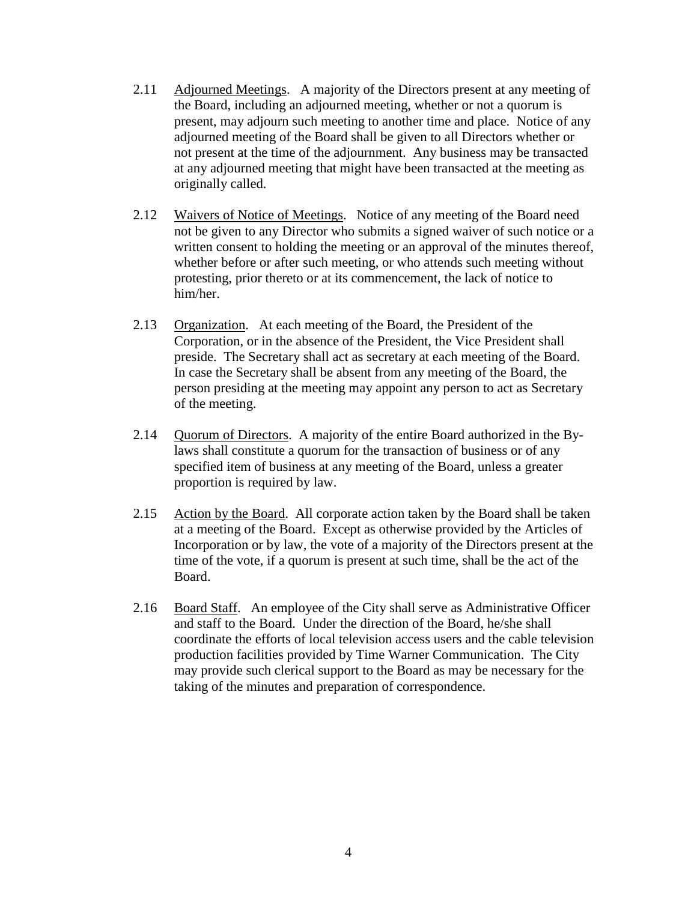- 2.11 Adjourned Meetings. A majority of the Directors present at any meeting of the Board, including an adjourned meeting, whether or not a quorum is present, may adjourn such meeting to another time and place. Notice of any adjourned meeting of the Board shall be given to all Directors whether or not present at the time of the adjournment. Any business may be transacted at any adjourned meeting that might have been transacted at the meeting as originally called.
- 2.12 Waivers of Notice of Meetings. Notice of any meeting of the Board need not be given to any Director who submits a signed waiver of such notice or a written consent to holding the meeting or an approval of the minutes thereof, whether before or after such meeting, or who attends such meeting without protesting, prior thereto or at its commencement, the lack of notice to him/her.
- 2.13 Organization. At each meeting of the Board, the President of the Corporation, or in the absence of the President, the Vice President shall preside. The Secretary shall act as secretary at each meeting of the Board. In case the Secretary shall be absent from any meeting of the Board, the person presiding at the meeting may appoint any person to act as Secretary of the meeting.
- 2.14 Quorum of Directors. A majority of the entire Board authorized in the Bylaws shall constitute a quorum for the transaction of business or of any specified item of business at any meeting of the Board, unless a greater proportion is required by law.
- 2.15 Action by the Board. All corporate action taken by the Board shall be taken at a meeting of the Board. Except as otherwise provided by the Articles of Incorporation or by law, the vote of a majority of the Directors present at the time of the vote, if a quorum is present at such time, shall be the act of the Board.
- 2.16 Board Staff. An employee of the City shall serve as Administrative Officer and staff to the Board. Under the direction of the Board, he/she shall coordinate the efforts of local television access users and the cable television production facilities provided by Time Warner Communication. The City may provide such clerical support to the Board as may be necessary for the taking of the minutes and preparation of correspondence.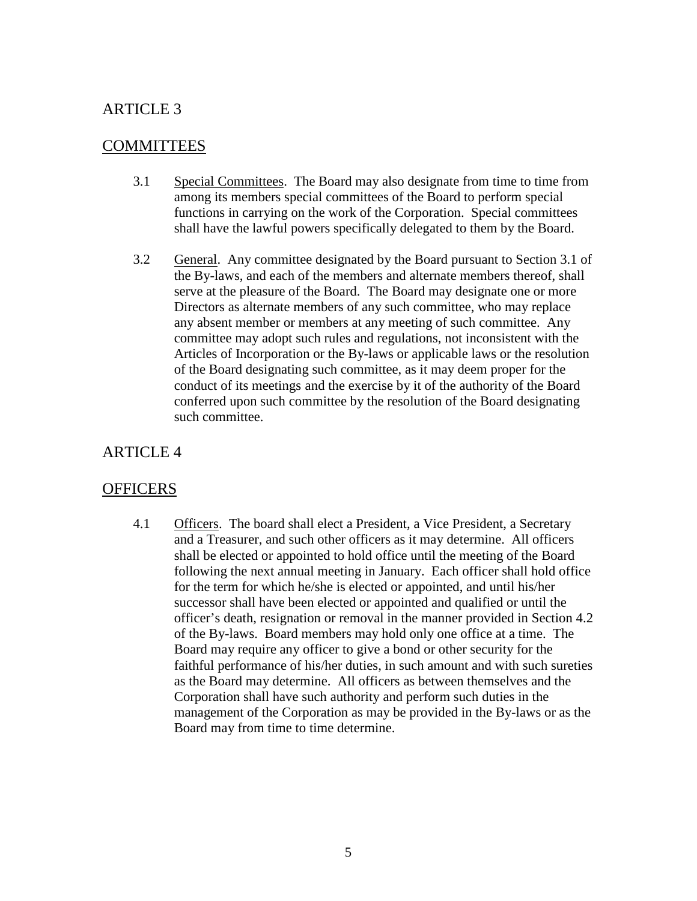## **COMMITTEES**

- 3.1 Special Committees. The Board may also designate from time to time from among its members special committees of the Board to perform special functions in carrying on the work of the Corporation. Special committees shall have the lawful powers specifically delegated to them by the Board.
- 3.2 General. Any committee designated by the Board pursuant to Section 3.1 of the By-laws, and each of the members and alternate members thereof, shall serve at the pleasure of the Board. The Board may designate one or more Directors as alternate members of any such committee, who may replace any absent member or members at any meeting of such committee. Any committee may adopt such rules and regulations, not inconsistent with the Articles of Incorporation or the By-laws or applicable laws or the resolution of the Board designating such committee, as it may deem proper for the conduct of its meetings and the exercise by it of the authority of the Board conferred upon such committee by the resolution of the Board designating such committee.

## ARTICLE 4

## **OFFICERS**

4.1 Officers. The board shall elect a President, a Vice President, a Secretary and a Treasurer, and such other officers as it may determine. All officers shall be elected or appointed to hold office until the meeting of the Board following the next annual meeting in January. Each officer shall hold office for the term for which he/she is elected or appointed, and until his/her successor shall have been elected or appointed and qualified or until the officer's death, resignation or removal in the manner provided in Section 4.2 of the By-laws. Board members may hold only one office at a time. The Board may require any officer to give a bond or other security for the faithful performance of his/her duties, in such amount and with such sureties as the Board may determine. All officers as between themselves and the Corporation shall have such authority and perform such duties in the management of the Corporation as may be provided in the By-laws or as the Board may from time to time determine.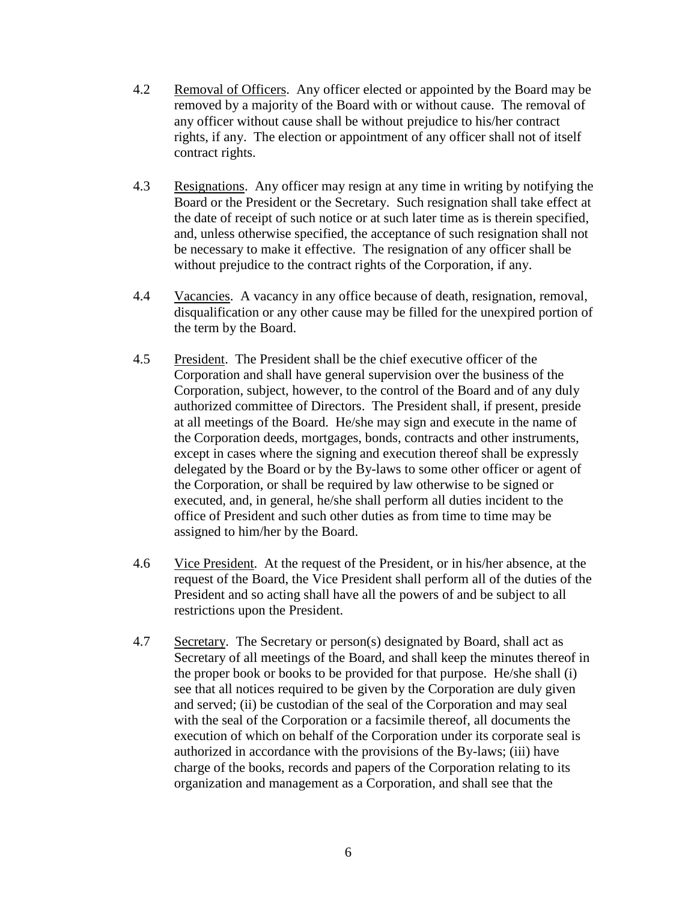- 4.2 Removal of Officers. Any officer elected or appointed by the Board may be removed by a majority of the Board with or without cause. The removal of any officer without cause shall be without prejudice to his/her contract rights, if any. The election or appointment of any officer shall not of itself contract rights.
- 4.3 Resignations. Any officer may resign at any time in writing by notifying the Board or the President or the Secretary. Such resignation shall take effect at the date of receipt of such notice or at such later time as is therein specified, and, unless otherwise specified, the acceptance of such resignation shall not be necessary to make it effective. The resignation of any officer shall be without prejudice to the contract rights of the Corporation, if any.
- 4.4 Vacancies. A vacancy in any office because of death, resignation, removal, disqualification or any other cause may be filled for the unexpired portion of the term by the Board.
- 4.5 President. The President shall be the chief executive officer of the Corporation and shall have general supervision over the business of the Corporation, subject, however, to the control of the Board and of any duly authorized committee of Directors. The President shall, if present, preside at all meetings of the Board. He/she may sign and execute in the name of the Corporation deeds, mortgages, bonds, contracts and other instruments, except in cases where the signing and execution thereof shall be expressly delegated by the Board or by the By-laws to some other officer or agent of the Corporation, or shall be required by law otherwise to be signed or executed, and, in general, he/she shall perform all duties incident to the office of President and such other duties as from time to time may be assigned to him/her by the Board.
- 4.6 Vice President. At the request of the President, or in his/her absence, at the request of the Board, the Vice President shall perform all of the duties of the President and so acting shall have all the powers of and be subject to all restrictions upon the President.
- 4.7 Secretary. The Secretary or person(s) designated by Board, shall act as Secretary of all meetings of the Board, and shall keep the minutes thereof in the proper book or books to be provided for that purpose. He/she shall (i) see that all notices required to be given by the Corporation are duly given and served; (ii) be custodian of the seal of the Corporation and may seal with the seal of the Corporation or a facsimile thereof, all documents the execution of which on behalf of the Corporation under its corporate seal is authorized in accordance with the provisions of the By-laws; (iii) have charge of the books, records and papers of the Corporation relating to its organization and management as a Corporation, and shall see that the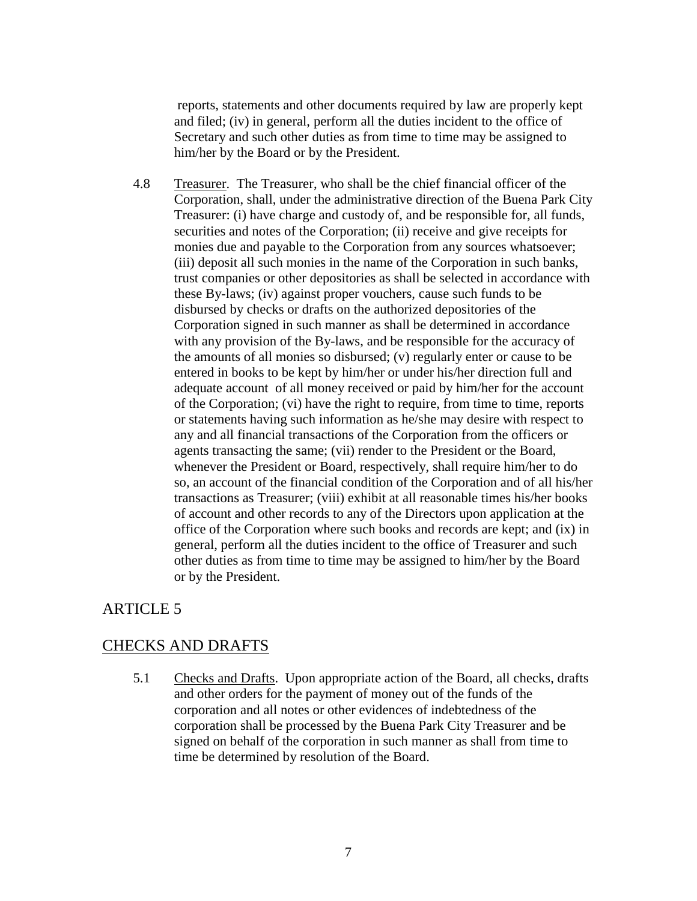reports, statements and other documents required by law are properly kept and filed; (iv) in general, perform all the duties incident to the office of Secretary and such other duties as from time to time may be assigned to him/her by the Board or by the President.

4.8 Treasurer. The Treasurer, who shall be the chief financial officer of the Corporation, shall, under the administrative direction of the Buena Park City Treasurer: (i) have charge and custody of, and be responsible for, all funds, securities and notes of the Corporation; (ii) receive and give receipts for monies due and payable to the Corporation from any sources whatsoever; (iii) deposit all such monies in the name of the Corporation in such banks, trust companies or other depositories as shall be selected in accordance with these By-laws; (iv) against proper vouchers, cause such funds to be disbursed by checks or drafts on the authorized depositories of the Corporation signed in such manner as shall be determined in accordance with any provision of the By-laws, and be responsible for the accuracy of the amounts of all monies so disbursed; (v) regularly enter or cause to be entered in books to be kept by him/her or under his/her direction full and adequate account of all money received or paid by him/her for the account of the Corporation; (vi) have the right to require, from time to time, reports or statements having such information as he/she may desire with respect to any and all financial transactions of the Corporation from the officers or agents transacting the same; (vii) render to the President or the Board, whenever the President or Board, respectively, shall require him/her to do so, an account of the financial condition of the Corporation and of all his/her transactions as Treasurer; (viii) exhibit at all reasonable times his/her books of account and other records to any of the Directors upon application at the office of the Corporation where such books and records are kept; and (ix) in general, perform all the duties incident to the office of Treasurer and such other duties as from time to time may be assigned to him/her by the Board or by the President.

# ARTICLE 5

## CHECKS AND DRAFTS

5.1 Checks and Drafts. Upon appropriate action of the Board, all checks, drafts and other orders for the payment of money out of the funds of the corporation and all notes or other evidences of indebtedness of the corporation shall be processed by the Buena Park City Treasurer and be signed on behalf of the corporation in such manner as shall from time to time be determined by resolution of the Board.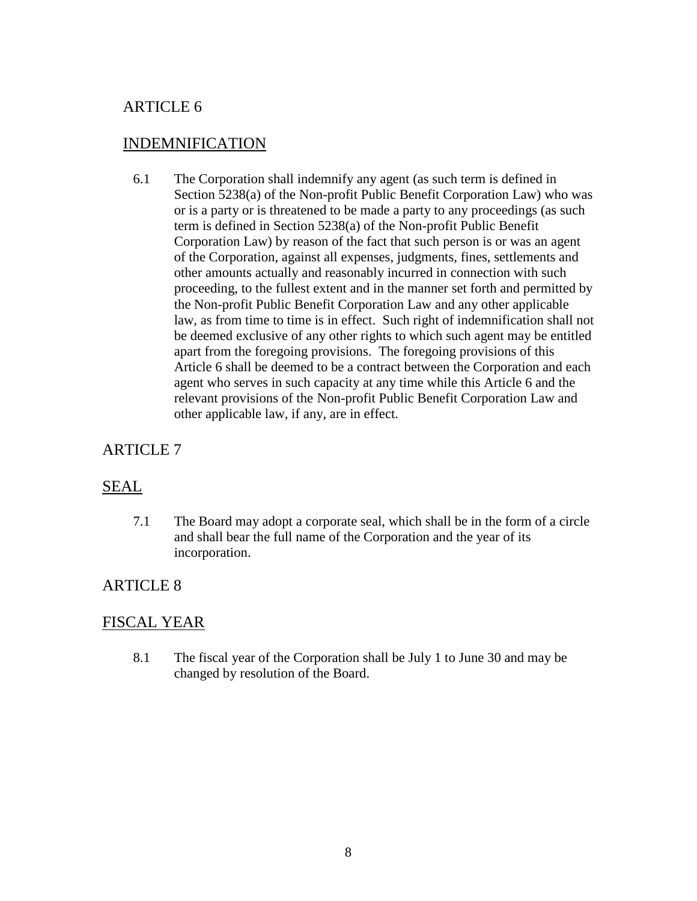# INDEMNIFICATION

6.1 The Corporation shall indemnify any agent (as such term is defined in Section 5238(a) of the Non-profit Public Benefit Corporation Law) who was or is a party or is threatened to be made a party to any proceedings (as such term is defined in Section 5238(a) of the Non-profit Public Benefit Corporation Law) by reason of the fact that such person is or was an agent of the Corporation, against all expenses, judgments, fines, settlements and other amounts actually and reasonably incurred in connection with such proceeding, to the fullest extent and in the manner set forth and permitted by the Non-profit Public Benefit Corporation Law and any other applicable law, as from time to time is in effect. Such right of indemnification shall not be deemed exclusive of any other rights to which such agent may be entitled apart from the foregoing provisions. The foregoing provisions of this Article 6 shall be deemed to be a contract between the Corporation and each agent who serves in such capacity at any time while this Article 6 and the relevant provisions of the Non-profit Public Benefit Corporation Law and other applicable law, if any, are in effect.

# ARTICLE 7

# SEAL

7.1 The Board may adopt a corporate seal, which shall be in the form of a circle and shall bear the full name of the Corporation and the year of its incorporation.

# ARTICLE 8

# FISCAL YEAR

8.1 The fiscal year of the Corporation shall be July 1 to June 30 and may be changed by resolution of the Board.